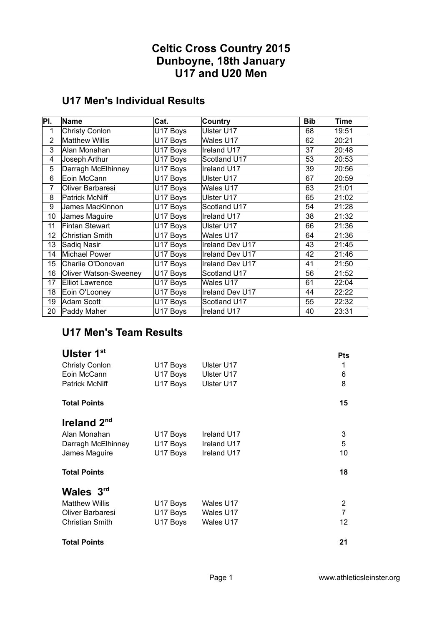# **Celtic Cross Country 2015 Dunboyne, 18th January U17 and U20 Men**

# **U17 Men's Individual Results**

| PI.            | Name                         | Cat.                 | Country         | <b>Bib</b> | <b>Time</b> |
|----------------|------------------------------|----------------------|-----------------|------------|-------------|
| 1              | <b>Christy Conlon</b>        | U17 Boys             | Ulster U17      | 68         | 19:51       |
| $\overline{2}$ | <b>Matthew Willis</b>        | U17 Boys             | Wales U17       | 62         | 20:21       |
| 3              | Alan Monahan                 | U17 Boys             | Ireland U17     | 37         | 20:48       |
| 4              | Joseph Arthur                | U17 Boys             | Scotland U17    | 53         | 20:53       |
| 5              | Darragh McElhinney           | U17 Boys             | Ireland U17     | 39         | 20:56       |
| 6              | Eoin McCann                  | U17 Boys             | Ulster U17      | 67         | 20:59       |
| 7              | Oliver Barbaresi             | U <sub>17</sub> Boys | Wales U17       | 63         | 21:01       |
| 8              | Patrick McNiff               | U17 Boys             | Ulster U17      | 65         | 21:02       |
| 9              | James MacKinnon              | U17 Boys             | Scotland U17    | 54         | 21:28       |
| 10             | James Maguire                | U17 Boys             | Ireland U17     | 38         | 21:32       |
| 11             | <b>Fintan Stewart</b>        | U17 Boys             | Ulster U17      | 66         | 21:36       |
| 12             | <b>Christian Smith</b>       | U17 Boys             | Wales U17       | 64         | 21:36       |
| 13             | Sadiq Nasir                  | U17 Boys             | Ireland Dev U17 | 43         | 21:45       |
| 14             | Michael Power                | U17 Boys             | Ireland Dev U17 | 42         | 21:46       |
| 15             | Charlie O'Donovan            | U17 Boys             | Ireland Dev U17 | 41         | 21:50       |
| 16             | <b>Oliver Watson-Sweeney</b> | U17 Boys             | Scotland U17    | 56         | 21:52       |
| 17             | <b>Elliot Lawrence</b>       | U17 Boys             | Wales U17       | 61         | 22:04       |
| 18             | Eoin O'Looney                | U17 Boys             | Ireland Dev U17 | 44         | 22:22       |
| 19             | Adam Scott                   | U17 Boys             | Scotland U17    | 55         | 22:32       |
| 20             | Paddy Maher                  | U17 Boys             | Ireland U17     | 40         | 23:31       |

#### **U17 Men's Team Results**

| Ulster 1st<br><b>Christy Conlon</b><br>Eoin McCann<br><b>Patrick McNiff</b> | U17 Boys<br>U17 Boys<br>U17 Boys | Ulster U17<br>Ulster U17<br>Ulster U17 | <b>Pts</b><br>1<br>6<br>8 |
|-----------------------------------------------------------------------------|----------------------------------|----------------------------------------|---------------------------|
| <b>Total Points</b>                                                         |                                  |                                        | 15                        |
| Ireland $2nd$                                                               |                                  |                                        |                           |
| Alan Monahan                                                                | U17 Boys                         | Ireland U17                            | 3                         |
| Darragh McElhinney                                                          | U17 Boys                         | Ireland U17                            | 5                         |
| James Maguire                                                               | U17 Boys                         | Ireland U17                            | 10                        |
| <b>Total Points</b>                                                         |                                  |                                        | 18                        |
| Wales 3rd                                                                   |                                  |                                        |                           |
| <b>Matthew Willis</b>                                                       | U17 Boys                         | Wales U17                              | 2                         |
| Oliver Barbaresi                                                            | U17 Boys                         | Wales U17                              | $\overline{7}$            |
| <b>Christian Smith</b>                                                      | U17 Boys                         | Wales U17                              | 12                        |
| <b>Total Points</b>                                                         |                                  |                                        | 21                        |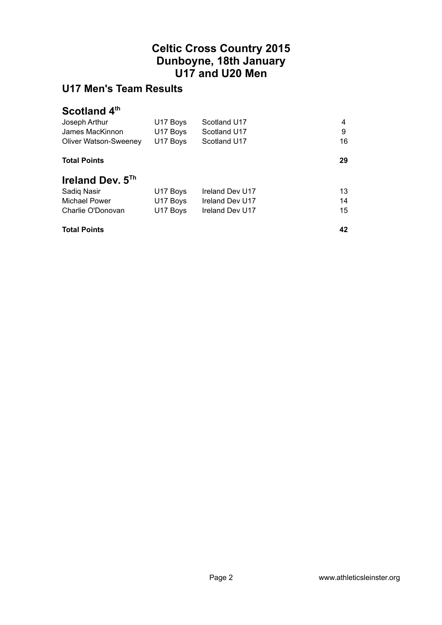# **Celtic Cross Country 2015 Dunboyne, 18th January U17 and U20 Men**

# **U17 Men's Team Results**

#### **Scotland 4th**

| Joseph Arthur                | U17 Boys | Scotland U17    | 4  |
|------------------------------|----------|-----------------|----|
| James MacKinnon              | U17 Boys | Scotland U17    | 9  |
| <b>Oliver Watson-Sweeney</b> | U17 Boys | Scotland U17    | 16 |
| <b>Total Points</b>          |          |                 | 29 |
| Ireland Dev. $5Th$           |          |                 |    |
| Sadiq Nasir                  | U17 Boys | Ireland Dev U17 | 13 |
| <b>Michael Power</b>         | U17 Boys | Ireland Dev U17 | 14 |
| Charlie O'Donovan            | U17 Boys | Ireland Dev U17 | 15 |
| <b>Total Points</b>          |          |                 | 42 |